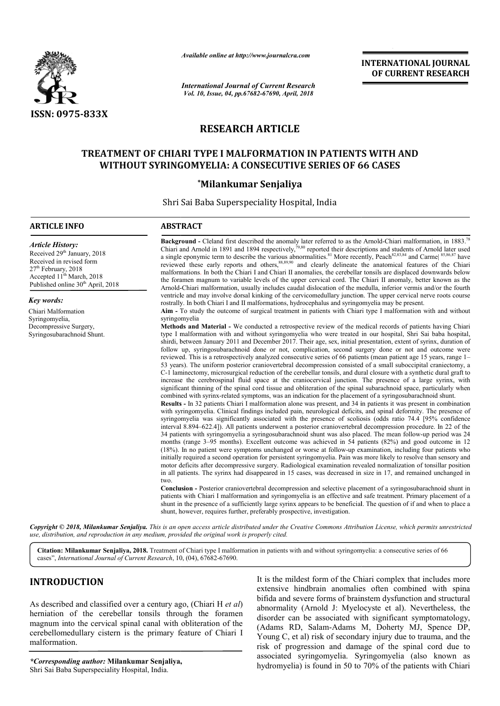

*Available online at http://www.journalcra.com*

*International Journal of Current Research Vol. 10, Issue, 04, pp.67682-67690, April, 2018*

**INTERNATIONAL JOURNAL OF CURRENT RESEARCH**

# **RESEARCH ARTICLE**

# **TREATMENT OF CHIARI TYPE I MALFORMATION IN PATIENTS WITH AND**  TREATMENT OF CHIARI TYPE I MALFORMATION IN PATIENTS WITH *I*<br>WITHOUT SYRINGOMYELIA: A CONSECUTIVE SERIES OF 66 CASES

## **\*Milankumar Senjaliya**

Shri Sai Baba Superspeciality Hospital, India

# **ARTICLE INFO ABSTRACT Background**  Chiari and Arnold in 1891 and 1894 respectively, a single eponymic term to describe the various abnormalities. reviewed these early reports and others,<sup>88,89,90</sup> and clearly delineate the anatomical features of the Chiari malformations malformations. In both the Chiari I and Chiari II anomalies, the cerebellar tonsils are displaced downwards below the foramen magnum to variable levels of the upper cervical cord. The Chiari II anomaly, better known as the Arnold--Chiari malformation, usually includes caudal dislocation of the medulla, inferior vermis and/or the fourth ventricle and may involve dorsal kinking of the cervicomedullary junction. The upper cervical nerve roots course rostrally. In both Chiari I and II malformations, hydrocephalus and syringomyelia may be present. **Aim -** To study the outcome of surgical treatment in patients with Chiari type I malformation with and without syringomyelia **Methods and Material -** We conducted a retrospective review of the medical records of patients having type I malformation with and without syringomyelia who were treated in our hospital, Shri Sai baba hospital, type I malformation with and without syringomyelia who were treated in our hospital, Shri Sai baba hospital, shirdi, between January 2011 and December 2017. Their age, sex, initial presentation, extent of syrinx, duration follow up, syringosubarachnoid done or not, complication, second surgery done or not and outcome were follow up, syringosubarachnoid done or not, complication, second surgery done or not and outcome were<br>reviewed. This is a retrospectively analyzed consecutive series of 66 patients (mean patient age 15 years, range 1– 53 years). The uniform p posterior craniovertebral decompression consisted of a small suboccipital craniectomy, a C-1 laminectomy, microsurgical reduction of the cerebellar tonsils, and dural closure with a synthetic dural graft to C-1 laminectomy, microsurgical reduction of the cerebellar tonsils, and dural closure with a synthetic dural graft to increase the cerebrospinal fluid space at the craniocervical junction. The presence of a large syrinx, w significant thinning of the spinal cord tissue and obliteration of the spinal subarachnoid space, particularly when combined with syrinx-related symptoms, was an indication for the placement of a sy **Results -** In 32 patients Chiari I malformation alone was present, and 34 in patients it was present in combination with syringomyelia. Clinical findings included pain, neurological deficits, and spinal deformity. The presence of syringomyelia was significantly associated with the presence of scoliosis (odds ratio 74.4 [95% confidence syringomyelia was significantly associated with the presence of scoliosis (odds ratio 74.4 [95% confidence interval 8.894–622.4]). All patients underwent a posterior craniovertebral decompression procedure. In 22 of the 34 patients with syringomyelia a syrin syringosubarachnoid shunt was also placed. The mean follow months (range 3 3–95 months). Excellent outcome was achieved in 54 patients (82%) and good outcome in 12 months (range 3–95 months). Excellent outcome was achieved in 54 patients (82%) and good outcome in 12 (18%). In no patient were symptoms unchanged or worse at follow-up examination, including four patients who initially required a second operation for persistent syringomyelia. Pain was more likely to resolve than sensory and motor deficits after decompressive surgery. Radiological examination revealed normalization of tonsillar position in all patients. The syrinx had disappeared in 15 cases, was decreased in size in 17, and remained unchanged in two. **Conclusion -** Posterior craniovertebral decompression and selective placement of a syringosubarachnoid shunt in patients with Chiari I malformation and syringomyelia is an effective and safe treatment. Primary placement of a shunt in the presence of a sufficiently large syrinx appears to be beneficial. The question of if and when to place a *Article History:* Received 29<sup>th</sup> January, 2018 Received in revised form 27<sup>th</sup> February, 2018 Accepted 11<sup>th</sup> March, 2018 Published online 30<sup>th</sup> April, 2018 *Key words:* Chiari Malformation Syringomyelia, Decompressive Surgery, Syringosubarachnoid Shunt. **-** Cleland first described the anomaly later referred to as the Arnold respectively,<sup>79,80</sup> reported their descriptions and students of Arnold later used abnormalities.<sup>81</sup> More recently, Peach first described the anomaly later referred to as the Arnold-Chiari malformation, in  $1883.^{78}$ reported their descriptions and students of Arnold later used nalities.<sup>81</sup> More recently, Peach<sup>82,83,84</sup> and Carme<sup>[85,86,87</sup> have malformations. In both the Chiari I and Chiari II anomalies, the cerebellar tonsils are displaced downwards below<br>the foramen magnum to variable levels of the upper cervical cord. The Chiari II anomaly, better known as the 53 years). The uniform posterior craniovertebral decompression consisted of a small suboccipital craniecton C-1 laminectomy, microsurgical reduction of the crebellar tonsils, and dural closure with a synthetic dural gincre **Results -** In 32 patients Chiari I malformation alone was present, and 34 in patients it was present in combination with syringomyelia. Clinical findings included pain, neurological deficits, and spinal deformity. The pre initially required a second operation for persistent syringomyelia. Pain was more likely to resolve than sensory a<br>motor deficits after decompressive surgery. Radiological examination revealed normalization of tonsillar po **EXERVATIONAL JOURNAL FORMATIONAL JOURNAL FORMATION CONTRIBUTE TO THE CONTRIBUTE CONTRIBUTE CONTRIBUTE CONTRIBUTE CONTRIBUTE CONTRIBUTE CONTRIBUTE CONTRIBUTE CONTRIBUTE CONTRIBUTE CONTRIBUTE CONTRIBUTE CONTRIBUTE CONTRIBU**

Copyright © 2018, Milankumar Senjaliya. This is an open access article distributed under the Creative Commons Attribution License, which permits unrestrictea *use, distribution, and reproduction in any medium, provided the original work is properly cited.*

shunt, however, requires further, preferably prospective, investigation.

Citation: Milankumar Senjaliya, 2018. Treatment of Chiari type I malformation in patients with and without syringomyelia: a consecutive series of 66 cases", *International Journal of Current Research*, 10 10, (04), 67682-67690.

# **INTRODUCTION**

As described and classified over a century ago, (Chiari H *et al*) herniation of the cerebellar tonsils through the foramen magnum into the cervical spinal canal with obliteration of the cerebellomedullary cistern is the primary feature of Chiari I malformation.

*\*Corresponding author:* **Milankumar Senjaliya,** Shri Sai Baba Superspeciality Hospital, India.

It is the mildest form of the Chiari complex that includes more<br>extensive hindbrain anomalies often combined with spina<br>bifida and severe forms of brainstem dysfunction and structural<br>abnormality (Arnold J: Myelocyste et a extensive hindbrain anomalies often combined with spina bifida and severe forms of brainstem dysfunction and structural It is the mildest form of the Chiari complex that includes more<br>extensive hindbrain anomalies often combined with spina<br>bifida and severe forms of brainstem dysfunction and structural<br>abnormality (Arnold J: Myelocyste et a disorder can be associated with significant symptomatology, (Adams RD, Salam-Adams M, Doherty MJ, Spence DP, Young C, et al) risk of secondary injury due to trauma, and the risk of progression and damage of the spinal cord due to associated syringomyelia. Syringomyelia (also known as hydromyelia) is found in 50 to 70% of the patients with Chiari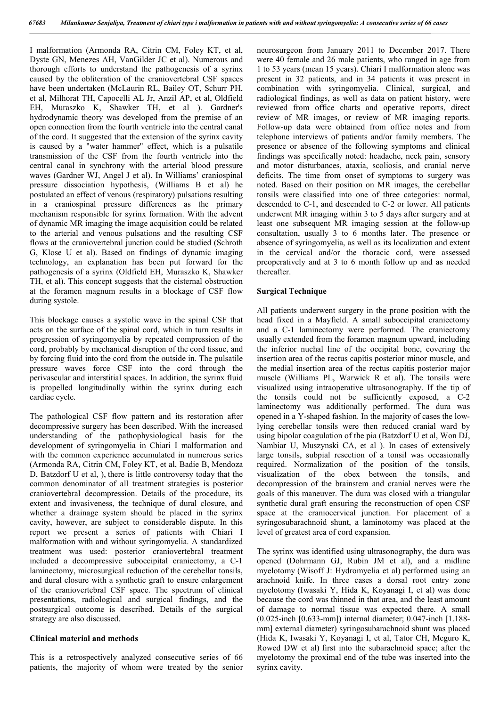I malformation (Armonda RA, Citrin CM, Foley KT, et al, Dyste GN, Menezes AH, VanGilder JC et al). Numerous and thorough efforts to understand the pathogenesis of a syrinx caused by the obliteration of the craniovertebral CSF spaces have been undertaken (McLaurin RL, Bailey OT, Schurr PH, et al, Milhorat TH, Capocelli AL Jr, Anzil AP, et al, Oldfield EH, Muraszko K, Shawker TH, et al ). Gardner's hydrodynamic theory was developed from the premise of an open connection from the fourth ventricle into the central canal of the cord. It suggested that the extension of the syrinx cavity is caused by a "water hammer" effect, which is a pulsatile transmission of the CSF from the fourth ventricle into the central canal in synchrony with the arterial blood pressure waves (Gardner WJ, Angel J et al). In Williams' craniospinal pressure dissociation hypothesis, (Williams B et al) he postulated an effect of venous (respiratory) pulsations resulting in a craniospinal pressure differences as the primary mechanism responsible for syrinx formation. With the advent of dynamic MR imaging the image acquisition could be related to the arterial and venous pulsations and the resulting CSF flows at the craniovertebral junction could be studied (Schroth G, Klose U et al). Based on findings of dynamic imaging technology, an explanation has been put forward for the pathogenesis of a syrinx (Oldfield EH, Muraszko K, Shawker TH, et al). This concept suggests that the cisternal obstruction at the foramen magnum results in a blockage of CSF flow during systole.

This blockage causes a systolic wave in the spinal CSF that acts on the surface of the spinal cord, which in turn results in progression of syringomyelia by repeated compression of the cord, probably by mechanical disruption of the cord tissue, and by forcing fluid into the cord from the outside in. The pulsatile pressure waves force CSF into the cord through the perivascular and interstitial spaces. In addition, the syrinx fluid is propelled longitudinally within the syrinx during each cardiac cycle.

The pathological CSF flow pattern and its restoration after decompressive surgery has been described. With the increased understanding of the pathophysiological basis for the development of syringomyelia in Chiari I malformation and with the common experience accumulated in numerous series (Armonda RA, Citrin CM, Foley KT, et al, Badie B, Mendoza D, Batzdorf U et al, ), there is little controversy today that the common denominator of all treatment strategies is posterior craniovertebral decompression. Details of the procedure, its extent and invasiveness, the technique of dural closure, and whether a drainage system should be placed in the syrinx cavity, however, are subject to considerable dispute. In this report we present a series of patients with Chiari I malformation with and without syringomyelia. A standardized treatment was used: posterior craniovertebral treatment included a decompressive suboccipital craniectomy, a C-1 laminectomy, microsurgical reduction of the cerebellar tonsils, and dural closure with a synthetic graft to ensure enlargement of the craniovertebral CSF space. The spectrum of clinical presentations, radiological and surgical findings, and the postsurgical outcome is described. Details of the surgical strategy are also discussed.

#### **Clinical material and methods**

This is a retrospectively analyzed consecutive series of 66 patients, the majority of whom were treated by the senior neurosurgeon from January 2011 to December 2017. There were 40 female and 26 male patients, who ranged in age from 1 to 53 years (mean 15 years). Chiari I malformation alone was present in 32 patients, and in 34 patients it was present in combination with syringomyelia. Clinical, surgical, and radiological findings, as well as data on patient history, were reviewed from office charts and operative reports, direct review of MR images, or review of MR imaging reports. Follow-up data were obtained from office notes and from telephone interviews of patients and/or family members. The presence or absence of the following symptoms and clinical findings was specifically noted: headache, neck pain, sensory and motor disturbances, ataxia, scoliosis, and cranial nerve deficits. The time from onset of symptoms to surgery was noted. Based on their position on MR images, the cerebellar tonsils were classified into one of three categories: normal, descended to C-1, and descended to C-2 or lower. All patients underwent MR imaging within 3 to 5 days after surgery and at least one subsequent MR imaging session at the follow-up consultation, usually 3 to 6 months later. The presence or absence of syringomyelia, as well as its localization and extent in the cervical and/or the thoracic cord, were assessed preoperatively and at 3 to 6 month follow up and as needed thereafter.

#### **Surgical Technique**

All patients underwent surgery in the prone position with the head fixed in a Mayfield. A small suboccipital craniectomy and a C-1 laminectomy were performed. The craniectomy usually extended from the foramen magnum upward, including the inferior nuchal line of the occipital bone, covering the insertion area of the rectus capitis posterior minor muscle, and the medial insertion area of the rectus capitis posterior major muscle (Williams PL, Warwick R et al). The tonsils were visualized using intraoperative ultrasonography. If the tip of the tonsils could not be sufficiently exposed, a C-2 laminectomy was additionally performed. The dura was opened in a Y-shaped fashion. In the majority of cases the lowlying cerebellar tonsils were then reduced cranial ward by using bipolar coagulation of the pia (Batzdorf U et al, Won DJ, Nambiar U, Muszynski CA, et al ). In cases of extensively large tonsils, subpial resection of a tonsil was occasionally required. Normalization of the position of the tonsils, visualization of the obex between the tonsils, and decompression of the brainstem and cranial nerves were the goals of this maneuver. The dura was closed with a triangular synthetic dural graft ensuring the reconstruction of open CSF space at the craniocervical junction. For placement of a syringosubarachnoid shunt, a laminotomy was placed at the level of greatest area of cord expansion.

The syrinx was identified using ultrasonography, the dura was opened (Dohrmann GJ, Rubin JM et al), and a midline myelotomy (Wisoff J: Hydromyelia et al) performed using an arachnoid knife. In three cases a dorsal root entry zone myelotomy (Iwasaki Y, Hida K, Koyanagi I, et al) was done because the cord was thinned in that area, and the least amount of damage to normal tissue was expected there. A small (0.025-inch [0.633-mm]) internal diameter; 0.047-inch [1.188 mm] external diameter) syringosubarachnoid shunt was placed (Hida K, Iwasaki Y, Koyanagi I, et al, Tator CH, Meguro K, Rowed DW et al) first into the subarachnoid space; after the myelotomy the proximal end of the tube was inserted into the syrinx cavity.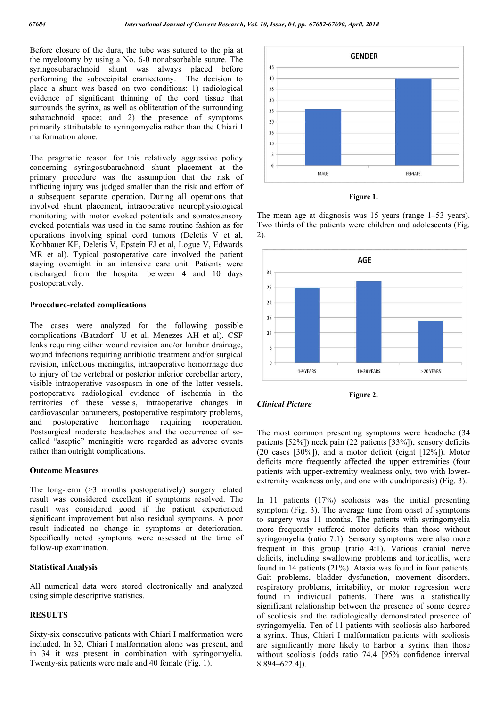Before closure of the dura, the tube was sutured to the pia at the myelotomy by using a No. 6-0 nonabsorbable suture. The syringosubarachnoid shunt was always placed before performing the suboccipital craniectomy. The decision to place a shunt was based on two conditions: 1) radiological evidence of significant thinning of the cord tissue that surrounds the syrinx, as well as obliteration of the surrounding subarachnoid space; and 2) the presence of symptoms primarily attributable to syringomyelia rather than the Chiari I malformation alone.

The pragmatic reason for this relatively aggressive policy concerning syringosubarachnoid shunt placement at the primary procedure was the assumption that the risk of inflicting injury was judged smaller than the risk and effort of a subsequent separate operation. During all operations that involved shunt placement, intraoperative neurophysiological monitoring with motor evoked potentials and somatosensory evoked potentials was used in the same routine fashion as for operations involving spinal cord tumors (Deletis V et al, Kothbauer KF, Deletis V, Epstein FJ et al, Logue V, Edwards MR et al). Typical postoperative care involved the patient staying overnight in an intensive care unit. Patients were discharged from the hospital between 4 and 10 days postoperatively.

#### **Procedure-related complications**

The cases were analyzed for the following possible complications (Batzdorf U et al, Menezes AH et al). CSF leaks requiring either wound revision and/or lumbar drainage, wound infections requiring antibiotic treatment and/or surgical revision, infectious meningitis, intraoperative hemorrhage due to injury of the vertebral or posterior inferior cerebellar artery, visible intraoperative vasospasm in one of the latter vessels, postoperative radiological evidence of ischemia in the territories of these vessels, intraoperative changes in cardiovascular parameters, postoperative respiratory problems, and postoperative hemorrhage requiring reoperation. Postsurgical moderate headaches and the occurrence of socalled "aseptic" meningitis were regarded as adverse events rather than outright complications.

#### **Outcome Measures**

The long-term (>3 months postoperatively) surgery related result was considered excellent if symptoms resolved. The result was considered good if the patient experienced significant improvement but also residual symptoms. A poor result indicated no change in symptoms or deterioration. Specifically noted symptoms were assessed at the time of follow-up examination.

#### **Statistical Analysis**

All numerical data were stored electronically and analyzed using simple descriptive statistics.

#### **RESULTS**

Sixty-six consecutive patients with Chiari I malformation were included. In 32, Chiari I malformation alone was present, and in 34 it was present in combination with syringomyelia. Twenty-six patients were male and 40 female (Fig. 1).





The mean age at diagnosis was 15 years (range 1–53 years). Two thirds of the patients were children and adolescents (Fig. 2).







The most common presenting symptoms were headache (34 patients [52%]) neck pain (22 patients [33%]), sensory deficits (20 cases [30%]), and a motor deficit (eight [12%]). Motor deficits more frequently affected the upper extremities (four patients with upper-extremity weakness only, two with lowerextremity weakness only, and one with quadriparesis) (Fig. 3).

In 11 patients (17%) scoliosis was the initial presenting symptom (Fig. 3). The average time from onset of symptoms to surgery was 11 months. The patients with syringomyelia more frequently suffered motor deficits than those without syringomyelia (ratio 7:1). Sensory symptoms were also more frequent in this group (ratio 4:1). Various cranial nerve deficits, including swallowing problems and torticollis, were found in 14 patients (21%). Ataxia was found in four patients. Gait problems, bladder dysfunction, movement disorders, respiratory problems, irritability, or motor regression were found in individual patients. There was a statistically significant relationship between the presence of some degree of scoliosis and the radiologically demonstrated presence of syringomyelia. Ten of 11 patients with scoliosis also harbored a syrinx. Thus, Chiari I malformation patients with scoliosis are significantly more likely to harbor a syrinx than those without scoliosis (odds ratio 74.4 [95% confidence interval 8.894–622.4]).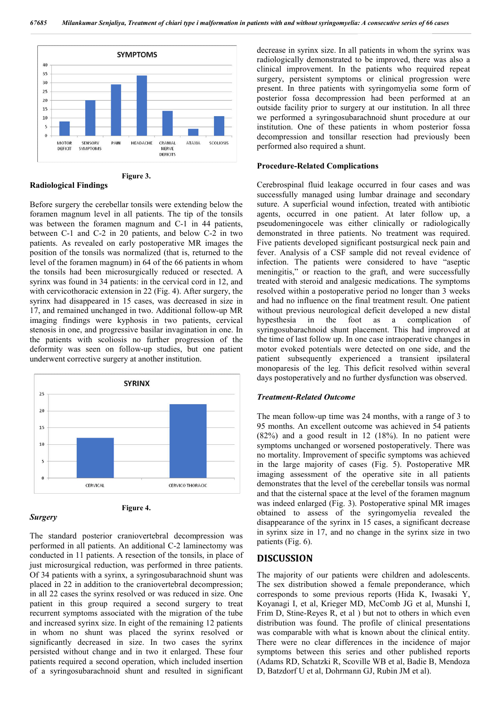



Before surgery the cerebellar tonsils were extending below the foramen magnum level in all patients. The tip of the tonsils was between the foramen magnum and C-1 in 44 patients, between C-1 and C-2 in 20 patients, and below C-2 in two patients. As revealed on early postoperative MR images the position of the tonsils was normalized (that is, returned to the level of the foramen magnum) in 64 of the 66 patients in whom the tonsils had been microsurgically reduced or resected. A syrinx was found in 34 patients: in the cervical cord in 12, and with cervicothoracic extension in 22 (Fig. 4). After surgery, the syrinx had disappeared in 15 cases, was decreased in size in 17, and remained unchanged in two. Additional follow-up MR imaging findings were kyphosis in two patients, cervical stenosis in one, and progressive basilar invagination in one. In the patients with scoliosis no further progression of the deformity was seen on follow-up studies, but one patient underwent corrective surgery at another institution.





*Surgery*

The standard posterior craniovertebral decompression was performed in all patients. An additional C-2 laminectomy was conducted in 11 patients. A resection of the tonsils, in place of just microsurgical reduction, was performed in three patients. Of 34 patients with a syrinx, a syringosubarachnoid shunt was placed in 22 in addition to the craniovertebral decompression; in all 22 cases the syrinx resolved or was reduced in size. One patient in this group required a second surgery to treat recurrent symptoms associated with the migration of the tube and increased syrinx size. In eight of the remaining 12 patients in whom no shunt was placed the syrinx resolved or significantly decreased in size. In two cases the syrinx persisted without change and in two it enlarged. These four patients required a second operation, which included insertion of a syringosubarachnoid shunt and resulted in significant decrease in syrinx size. In all patients in whom the syrinx was radiologically demonstrated to be improved, there was also a clinical improvement. In the patients who required repeat surgery, persistent symptoms or clinical progression were present. In three patients with syringomyelia some form of posterior fossa decompression had been performed at an outside facility prior to surgery at our institution. In all three we performed a syringosubarachnoid shunt procedure at our institution. One of these patients in whom posterior fossa decompression and tonsillar resection had previously been performed also required a shunt.

#### **Procedure-Related Complications**

Cerebrospinal fluid leakage occurred in four cases and was successfully managed using lumbar drainage and secondary suture. A superficial wound infection, treated with antibiotic agents, occurred in one patient. At later follow up, a pseudomeningocele was either clinically or radiologically demonstrated in three patients. No treatment was required. Five patients developed significant postsurgical neck pain and fever. Analysis of a CSF sample did not reveal evidence of infection. The patients were considered to have "aseptic meningitis," or reaction to the graft, and were successfully treated with steroid and analgesic medications. The symptoms resolved within a postoperative period no longer than 3 weeks and had no influence on the final treatment result. One patient without previous neurological deficit developed a new distal hypesthesia in the foot as a complication of syringosubarachnoid shunt placement. This had improved at the time of last follow up. In one case intraoperative changes in motor evoked potentials were detected on one side, and the patient subsequently experienced a transient ipsilateral monoparesis of the leg. This deficit resolved within several days postoperatively and no further dysfunction was observed.

#### *Treatment-Related Outcome*

The mean follow-up time was 24 months, with a range of 3 to 95 months. An excellent outcome was achieved in 54 patients (82%) and a good result in 12 (18%). In no patient were symptoms unchanged or worsened postoperatively. There was no mortality. Improvement of specific symptoms was achieved in the large majority of cases (Fig. 5). Postoperative MR imaging assessment of the operative site in all patients demonstrates that the level of the cerebellar tonsils was normal and that the cisternal space at the level of the foramen magnum was indeed enlarged (Fig. 3). Postoperative spinal MR images obtained to assess of the syringomyelia revealed the disappearance of the syrinx in 15 cases, a significant decrease in syrinx size in 17, and no change in the syrinx size in two patients (Fig. 6).

## **DISCUSSION**

The majority of our patients were children and adolescents. The sex distribution showed a female preponderance, which corresponds to some previous reports (Hida K, Iwasaki Y, Koyanagi I, et al, Krieger MD, McComb JG et al, Munshi I, Frim D, Stine-Reyes R, et al ) but not to others in which even distribution was found. The profile of clinical presentations was comparable with what is known about the clinical entity. There were no clear differences in the incidence of major symptoms between this series and other published reports (Adams RD, Schatzki R, Scoville WB et al, Badie B, Mendoza D, Batzdorf U et al, Dohrmann GJ, Rubin JM et al).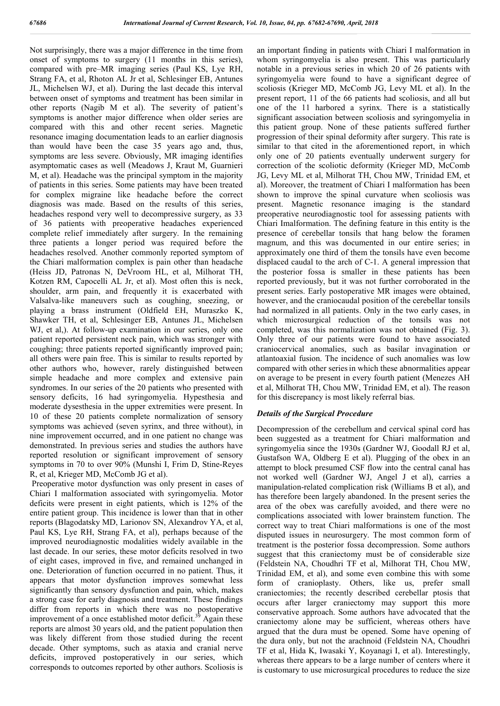Not surprisingly, there was a major difference in the time from onset of symptoms to surgery (11 months in this series), compared with pre–MR imaging series (Paul KS, Lye RH, Strang FA, et al, Rhoton AL Jr et al, Schlesinger EB, Antunes JL, Michelsen WJ, et al). During the last decade this interval between onset of symptoms and treatment has been similar in other reports (Nagib M et al). The severity of patient's symptoms is another major difference when older series are compared with this and other recent series. Magnetic resonance imaging documentation leads to an earlier diagnosis than would have been the case 35 years ago and, thus, symptoms are less severe. Obviously, MR imaging identifies asymptomatic cases as well (Meadows J, Kraut M, Guarnieri M, et al). Headache was the principal symptom in the majority of patients in this series. Some patients may have been treated for complex migraine like headache before the correct diagnosis was made. Based on the results of this series, headaches respond very well to decompressive surgery, as 33 of 36 patients with preoperative headaches experienced complete relief immediately after surgery. In the remaining three patients a longer period was required before the headaches resolved. Another commonly reported symptom of the Chiari malformation complex is pain other than headache (Heiss JD, Patronas N, DeVroom HL, et al, Milhorat TH, Kotzen RM, Capocelli AL Jr, et al). Most often this is neck, shoulder, arm pain, and frequently it is exacerbated with Valsalva-like maneuvers such as coughing, sneezing, or playing a brass instrument (Oldfield EH, Muraszko K, Shawker TH, et al, Schlesinger EB, Antunes JL, Michelsen WJ, et al, al. At follow-up examination in our series, only one patient reported persistent neck pain, which was stronger with coughing; three patients reported significantly improved pain; all others were pain free. This is similar to results reported by other authors who, however, rarely distinguished between simple headache and more complex and extensive pain syndromes. In our series of the 20 patients who presented with sensory deficits, 16 had syringomyelia. Hypesthesia and moderate dysesthesia in the upper extremities were present. In 10 of these 20 patients complete normalization of sensory symptoms was achieved (seven syrinx, and three without), in nine improvement occurred, and in one patient no change was demonstrated. In previous series and studies the authors have reported resolution or significant improvement of sensory symptoms in 70 to over 90% (Munshi I, Frim D, Stine-Reyes R, et al, Krieger MD, McComb JG et al).

Preoperative motor dysfunction was only present in cases of Chiari I malformation associated with syringomyelia. Motor deficits were present in eight patients, which is 12% of the entire patient group. This incidence is lower than that in other reports (Blagodatsky MD, Larionov SN, Alexandrov YA, et al, Paul KS, Lye RH, Strang FA, et al), perhaps because of the improved neurodiagnostic modalities widely available in the last decade. In our series, these motor deficits resolved in two of eight cases, improved in five, and remained unchanged in one. Deterioration of function occurred in no patient. Thus, it appears that motor dysfunction improves somewhat less significantly than sensory dysfunction and pain, which, makes a strong case for early diagnosis and treatment. These findings differ from reports in which there was no postoperative improvement of a once established motor deficit.<sup>39</sup> Again these reports are almost 30 years old, and the patient population then was likely different from those studied during the recent decade. Other symptoms, such as ataxia and cranial nerve deficits, improved postoperatively in our series, which corresponds to outcomes reported by other authors. Scoliosis is

an important finding in patients with Chiari I malformation in whom syringomyelia is also present. This was particularly notable in a previous series in which 20 of 26 patients with syringomyelia were found to have a significant degree of scoliosis (Krieger MD, McComb JG, Levy ML et al). In the present report, 11 of the 66 patients had scoliosis, and all but one of the 11 harbored a syrinx. There is a statistically significant association between scoliosis and syringomyelia in this patient group. None of these patients suffered further progression of their spinal deformity after surgery. This rate is similar to that cited in the aforementioned report, in which only one of 20 patients eventually underwent surgery for correction of the scoliotic deformity (Krieger MD, McComb JG, Levy ML et al, Milhorat TH, Chou MW, Trinidad EM, et al). Moreover, the treatment of Chiari I malformation has been shown to improve the spinal curvature when scoliosis was present. Magnetic resonance imaging is the standard preoperative neurodiagnostic tool for assessing patients with Chiari Imalformation. The defining feature in this entity is the presence of cerebellar tonsils that hang below the foramen magnum, and this was documented in our entire series; in approximately one third of them the tonsils have even become displaced caudal to the arch of C-1. A general impression that the posterior fossa is smaller in these patients has been reported previously, but it was not further corroborated in the present series. Early postoperative MR images were obtained, however, and the craniocaudal position of the cerebellar tonsils had normalized in all patients. Only in the two early cases, in which microsurgical reduction of the tonsils was not completed, was this normalization was not obtained (Fig. 3). Only three of our patients were found to have associated craniocervical anomalies, such as basilar invagination or atlantoaxial fusion. The incidence of such anomalies was low compared with other seriesin which these abnormalities appear on average to be present in every fourth patient (Menezes AH et al, Milhorat TH, Chou MW, Trinidad EM, et al). The reason for this discrepancy is most likely referral bias.

### *Details of the Surgical Procedure*

Decompression of the cerebellum and cervical spinal cord has been suggested as a treatment for Chiari malformation and syringomyelia since the 1930s (Gardner WJ, Goodall RJ et al, Gustafson WA, Oldberg E et al). Plugging of the obex in an attempt to block presumed CSF flow into the central canal has not worked well (Gardner WJ, Angel J et al), carries a manipulation-related complication risk (Williams B et al), and has therefore been largely abandoned. In the present series the area of the obex was carefully avoided, and there were no complications associated with lower brainstem function. The correct way to treat Chiari malformations is one of the most disputed issues in neurosurgery. The most common form of treatment is the posterior fossa decompression. Some authors suggest that this craniectomy must be of considerable size (Feldstein NA, Choudhri TF et al, Milhorat TH, Chou MW, Trinidad EM, et al), and some even combine this with some form of cranioplasty. Others, like us, prefer small craniectomies; the recently described cerebellar ptosis that occurs after larger craniectomy may support this more conservative approach. Some authors have advocated that the craniectomy alone may be sufficient, whereas others have argued that the dura must be opened. Some have opening of the dura only, but not the arachnoid (Feldstein NA, Choudhri TF et al, Hida K, Iwasaki Y, Koyanagi I, et al). Interestingly, whereas there appears to be a large number of centers where it is customary to use microsurgical procedures to reduce the size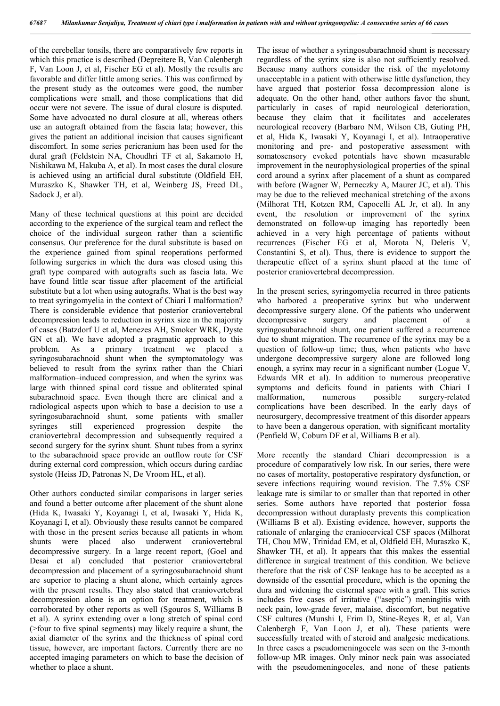of the cerebellar tonsils, there are comparatively few reports in which this practice is described (Depreitere B, Van Calenbergh F, Van Loon J, et al, Fischer EG et al). Mostly the results are favorable and differ little among series. This was confirmed by the present study as the outcomes were good, the number complications were small, and those complications that did occur were not severe. The issue of dural closure is disputed. Some have advocated no dural closure at all, whereas others use an autograft obtained from the fascia lata; however, this gives the patient an additional incision that causes significant discomfort. In some series pericranium has been used for the dural graft (Feldstein NA, Choudhri TF et al, Sakamoto H, Nishikawa M, Hakuba A, et al). In most cases the dural closure is achieved using an artificial dural substitute (Oldfield EH, Muraszko K, Shawker TH, et al, Weinberg JS, Freed DL, Sadock J, et al).

Many of these technical questions at this point are decided according to the experience of the surgical team and reflect the choice of the individual surgeon rather than a scientific consensus. Our preference for the dural substitute is based on the experience gained from spinal reoperations performed following surgeries in which the dura was closed using this graft type compared with autografts such as fascia lata. We have found little scar tissue after placement of the artificial substitute but a lot when using autografts. What is the best way to treat syringomyelia in the context of Chiari I malformation? There is considerable evidence that posterior craniovertebral decompression leads to reduction in syrinx size in the majority of cases (Batzdorf U et al, Menezes AH, Smoker WRK, Dyste GN et al). We have adopted a pragmatic approach to this problem. As a primary treatment we placed a syringosubarachnoid shunt when the symptomatology was believed to result from the syrinx rather than the Chiari malformation–induced compression, and when the syrinx was large with thinned spinal cord tissue and obliterated spinal subarachnoid space. Even though there are clinical and a radiological aspects upon which to base a decision to use a syringosubarachnoid shunt, some patients with smaller syringes still experienced progression despite the craniovertebral decompression and subsequently required a second surgery for the syrinx shunt. Shunt tubes from a syrinx to the subarachnoid space provide an outflow route for CSF during external cord compression, which occurs during cardiac systole (Heiss JD, Patronas N, De Vroom HL, et al).

Other authors conducted similar comparisons in larger series and found a better outcome after placement of the shunt alone (Hida K, Iwasaki Y, Koyanagi I, et al, Iwasaki Y, Hida K, Koyanagi I, et al). Obviously these results cannot be compared with those in the present series because all patients in whom shunts were placed also underwent craniovertebral decompressive surgery. In a large recent report, (Goel and Desai et al) concluded that posterior craniovertebral decompression and placement of a syringosubarachnoid shunt are superior to placing a shunt alone, which certainly agrees with the present results. They also stated that craniovertebral decompression alone is an option for treatment, which is corroborated by other reports as well (Sgouros S, Williams B et al). A syrinx extending over a long stretch of spinal cord (>four to five spinal segments) may likely require a shunt, the axial diameter of the syrinx and the thickness of spinal cord tissue, however, are important factors. Currently there are no accepted imaging parameters on which to base the decision of whether to place a shunt.

The issue of whether a syringosubarachnoid shunt is necessary regardless of the syrinx size is also not sufficiently resolved. Because many authors consider the risk of the myelotomy unacceptable in a patient with otherwise little dysfunction, they have argued that posterior fossa decompression alone is adequate. On the other hand, other authors favor the shunt, particularly in cases of rapid neurological deterioration, because they claim that it facilitates and accelerates neurological recovery (Barbaro NM, Wilson CB, Guting PH, et al, Hida K, Iwasaki Y, Koyanagi I, et al). Intraoperative monitoring and pre- and postoperative assessment with somatosensory evoked potentials have shown measurable improvement in the neurophysiological properties of the spinal cord around a syrinx after placement of a shunt as compared with before (Wagner W, Perneczky A, Maurer JC, et al). This may be due to the relieved mechanical stretching of the axons (Milhorat TH, Kotzen RM, Capocelli AL Jr, et al). In any event, the resolution or improvement of the syrinx demonstrated on follow-up imaging has reportedly been achieved in a very high percentage of patients without recurrences (Fischer EG et al, Morota N, Deletis V, Constantini S, et al). Thus, there is evidence to support the therapeutic effect of a syrinx shunt placed at the time of posterior craniovertebral decompression.

In the present series, syringomyelia recurred in three patients who harbored a preoperative syrinx but who underwent decompressive surgery alone. Of the patients who underwent decompressive surgery and placement of a syringosubarachnoid shunt, one patient suffered a recurrence due to shunt migration. The recurrence of the syrinx may be a question of follow-up time; thus, when patients who have undergone decompressive surgery alone are followed long enough, a syrinx may recur in a significant number (Logue V, Edwards MR et al). In addition to numerous preoperative symptoms and deficits found in patients with Chiari I malformation, numerous possible surgery-related complications have been described. In the early days of neurosurgery, decompressive treatment of this disorder appears to have been a dangerous operation, with significant mortality (Penfield W, Coburn DF et al, Williams B et al).

More recently the standard Chiari decompression is a procedure of comparatively low risk. In our series, there were no cases of mortality, postoperative respiratory dysfunction, or severe infections requiring wound revision. The 7.5% CSF leakage rate is similar to or smaller than that reported in other series. Some authors have reported that posterior fossa decompression without duraplasty prevents this complication (Williams B et al). Existing evidence, however, supports the rationale of enlarging the craniocervical CSF spaces (Milhorat TH, Chou MW, Trinidad EM, et al, Oldfield EH, Muraszko K, Shawker TH, et al). It appears that this makes the essential difference in surgical treatment of this condition. We believe therefore that the risk of CSF leakage has to be accepted as a downside of the essential procedure, which is the opening the dura and widening the cisternal space with a graft. This series includes five cases of irritative ("aseptic") meningitis with neck pain, low-grade fever, malaise, discomfort, but negative CSF cultures (Munshi I, Frim D, Stine-Reyes R, et al, Van Calenbergh F, Van Loon J, et al). These patients were successfully treated with of steroid and analgesic medications. In three cases a pseudomeningocele was seen on the 3-month follow-up MR images. Only minor neck pain was associated with the pseudomeningoceles, and none of these patients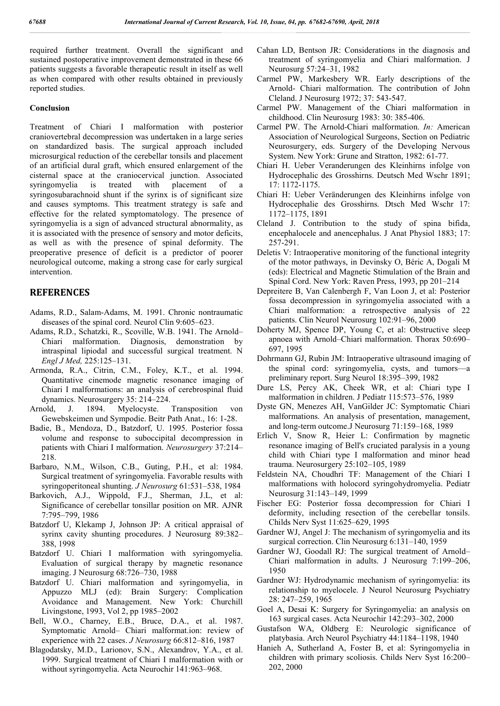required further treatment. Overall the significant and sustained postoperative improvement demonstrated in these 66 patients suggests a favorable therapeutic result in itself as well as when compared with other results obtained in previously reported studies.

#### **Conclusion**

Treatment of Chiari I malformation with posterior craniovertebral decompression was undertaken in a large series on standardized basis. The surgical approach included microsurgical reduction of the cerebellar tonsils and placement of an artificial dural graft, which ensured enlargement of the cisternal space at the craniocervical junction. Associated syringomyelia is treated with placement of a syringosubarachnoid shunt if the syrinx is of significant size and causes symptoms. This treatment strategy is safe and effective for the related symptomatology. The presence of syringomyelia is a sign of advanced structural abnormality, as it is associated with the presence of sensory and motor deficits, as well as with the presence of spinal deformity. The preoperative presence of deficit is a predictor of poorer neurological outcome, making a strong case for early surgical intervention.

## **REFERENCES**

- Adams, R.D., Salam-Adams, M. 1991. Chronic nontraumatic diseases of the spinal cord. Neurol Clin 9:605–623.
- Adams, R.D., Schatzki, R., Scoville, W.B. 1941. The Arnold– Chiari malformation. Diagnosis, demonstration by intraspinal lipiodal and successful surgical treatment. N *Engl J Med,* 225:125–131.
- Armonda, R.A., Citrin, C.M., Foley, K.T., et al. 1994. Quantitative cinemode magnetic resonance imaging of Chiari I malformations: an analysis of cerebrospinal fluid dynamics. Neurosurgery 35: 214–224.
- Arnold, J. 1894. Myelocyste. Transposition von Gewebskeimen und Sympodie. Beitr Path Anat., 16: 1-28.
- Badie, B., Mendoza, D., Batzdorf, U. 1995. Posterior fossa volume and response to suboccipital decompression in patients with Chiari I malformation. *Neurosurgery* 37:214– 218.
- Barbaro, N.M., Wilson, C.B., Guting, P.H., et al: 1984. Surgical treatment of syringomyelia. Favorable results with syringoperitoneal shunting. *J Neurosurg* 61:531–538, 1984
- Barkovich, A.J., Wippold, F.J., Sherman, J.L, et al: Significance of cerebellar tonsillar position on MR. AJNR 7:795–799, 1986
- Batzdorf U, Klekamp J, Johnson JP: A critical appraisal of syrinx cavity shunting procedures. J Neurosurg 89:382– 388, 1998
- Batzdorf U. Chiari I malformation with syringomyelia. Evaluation of surgical therapy by magnetic resonance imaging. J Neurosurg 68:726–730, 1988
- Batzdorf U. Chiari malformation and syringomyelia, in Appuzzo MLJ (ed): Brain Surgery: Complication Avoidance and Management. New York: Churchill Livingstone, 1993, Vol 2, pp 1985–2002
- Bell, W.O., Charney, E.B., Bruce, D.A., et al. 1987. Symptomatic Arnold– Chiari malformat.ion: review of experience with 22 cases. *J Neurosurg* 66:812–816, 1987
- Blagodatsky, M.D., Larionov, S.N., Alexandrov, Y.A., et al. 1999. Surgical treatment of Chiari I malformation with or without syringomyelia. Acta Neurochir 141:963–968.
- Cahan LD, Bentson JR: Considerations in the diagnosis and treatment of syringomyelia and Chiari malformation. J Neurosurg 57:24–31, 1982
- Carmel PW, Markesbery WR. Early descriptions of the Arnold- Chiari malformation. The contribution of John Cleland. J Neurosurg 1972; 37: 543-547.
- Carmel PW. Management of the Chiari malformation in childhood. Clin Neurosurg 1983: 30: 385-406.
- Carmel PW. The Arnold-Chiari malformation. *In:* American Association of Neurological Surgeons, Section on Pediatric Neurosurgery, eds. Surgery of the Developing Nervous System. New York: Grune and Stratton, 1982: 61-77.
- Chiari H. Ueber Veranderungen des Kleinhirns infolge von Hydrocephalic des Grosshirns. Deutsch Med Wschr 1891; 17: 1172-1175.
- Chiari H: Ueber Veränderungen des Kleinhirns infolge von Hydrocephalie des Grosshirns. Dtsch Med Wschr 17: 1172–1175, 1891
- Cleland J. Contribution to the study of spina bifida, encephalocele and anencephalus. J Anat Physiol 1883; 17: 257-291.
- Deletis V: Intraoperative monitoring of the functional integrity of the motor pathways, in Devinsky O, Béric A, Dogali M (eds): Electrical and Magnetic Stimulation of the Brain and Spinal Cord. New York: Raven Press, 1993, pp 201–214
- Depreitere B, Van Calenbergh F, Van Loon J, et al: Posterior fossa decompression in syringomyelia associated with a Chiari malformation: a retrospective analysis of 22 patients. Clin Neurol Neurosurg 102:91–96, 2000
- Doherty MJ, Spence DP, Young C, et al: Obstructive sleep apnoea with Arnold–Chiari malformation. Thorax 50:690– 697, 1995
- Dohrmann GJ, Rubin JM: Intraoperative ultrasound imaging of the spinal cord: syringomyelia, cysts, and tumors—a preliminary report. Surg Neurol 18:395–399, 1982
- Dure LS, Percy AK, Cheek WR, et al: Chiari type I malformation in children. J Pediatr 115:573–576, 1989
- Dyste GN, Menezes AH, VanGilder JC: Symptomatic Chiari malformations. An analysis of presentation, management, and long-term outcome.J Neurosurg 71:159–168, 1989
- Erlich V, Snow R, Heier L: Confirmation by magnetic resonance imaging of Bell's cruciated paralysis in a young child with Chiari type I malformation and minor head trauma. Neurosurgery 25:102–105, 1989
- Feldstein NA, Choudhri TF: Management of the Chiari I malformations with holocord syringohydromyelia. Pediatr Neurosurg 31:143–149, 1999
- Fischer EG: Posterior fossa decompression for Chiari I deformity, including resection of the cerebellar tonsils. Childs Nerv Syst 11:625–629, 1995
- Gardner WJ, Angel J: The mechanism of syringomyelia and its surgical correction. Clin Neurosurg 6:131–140, 1959
- Gardner WJ, Goodall RJ: The surgical treatment of Arnold– Chiari malformation in adults. J Neurosurg 7:199–206, 1950
- Gardner WJ: Hydrodynamic mechanism of syringomyelia: its relationship to myelocele. J Neurol Neurosurg Psychiatry 28: 247–259, 1965
- Goel A, Desai K: Surgery for Syringomyelia: an analysis on 163 surgical cases. Acta Neurochir 142:293–302, 2000
- Gustafson WA, Oldberg E: Neurologic significance of platybasia. Arch Neurol Psychiatry 44:1184–1198, 1940
- Hanieh A, Sutherland A, Foster B, et al: Syringomyelia in children with primary scoliosis. Childs Nerv Syst 16:200– 202, 2000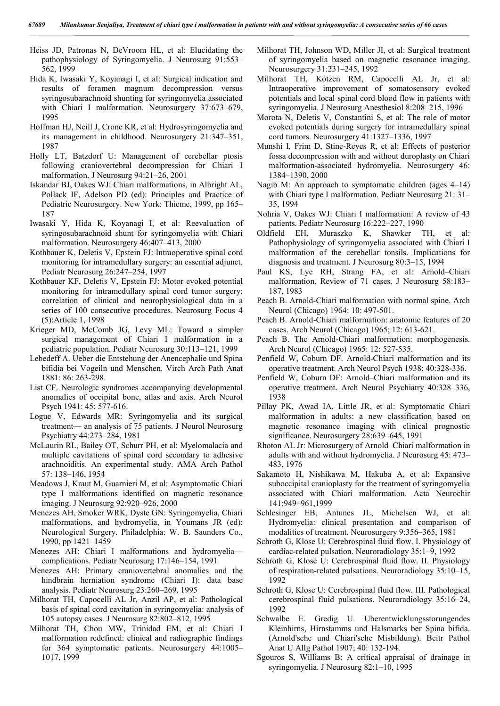Heiss JD, Patronas N, DeVroom HL, et al: Elucidating the pathophysiology of Syringomyelia. J Neurosurg 91:553– 562, 1999

- Hida K, Iwasaki Y, Koyanagi I, et al: Surgical indication and results of foramen magnum decompression versus syringosubarachnoid shunting for syringomyelia associated with Chiari I malformation. Neurosurgery 37:673-679, 1995
- Hoffman HJ, Neill J, Crone KR, et al: Hydrosyringomyelia and its management in childhood. Neurosurgery 21:347–351, 1987
- Holly LT, Batzdorf U: Management of cerebellar ptosis following craniovertebral decompression for Chiari I malformation. J Neurosurg 94:21–26, 2001
- Iskandar BJ, Oakes WJ: Chiari malformations, in Albright AL, Pollack IF, Adelson PD (ed): Principles and Practice of Pediatric Neurosurgery. New York: Thieme, 1999, pp 165– 187
- Iwasaki Y, Hida K, Koyanagi I, et al: Reevaluation of syringosubarachnoid shunt for syringomyelia with Chiari malformation. Neurosurgery 46:407–413, 2000
- Kothbauer K, Deletis V, Epstein FJ: Intraoperative spinal cord monitoring for intramedullary surgery: an essential adjunct. Pediatr Neurosurg 26:247–254, 1997
- Kothbauer KF, Deletis V, Epstein FJ: Motor evoked potential monitoring for intramedullary spinal cord tumor surgery: correlation of clinical and neurophysiological data in a series of 100 consecutive procedures. Neurosurg Focus 4 (5):Article 1, 1998
- Krieger MD, McComb JG, Levy ML: Toward a simpler surgical management of Chiari I malformation in a pediatric population. Pediatr Neurosurg 30:113–121, 1999
- Lebedeff A. Ueber die Entstehung der Anencephalie und Spina bifidia bei Vogeiln und Menschen. Virch Arch Path Anat 1881: 86: 263-298.
- List CF. Neurologic syndromes accompanying developmental anomalies of occipital bone, atlas and axis. Arch Neurol Psych 1941: 45: 577-616.
- Logue V, Edwards MR: Syringomyelia and its surgical treatment— an analysis of 75 patients. J Neurol Neurosurg Psychiatry 44:273–284, 1981
- McLaurin RL, Bailey OT, Schurr PH, et al: Myelomalacia and multiple cavitations of spinal cord secondary to adhesive arachnoiditis. An experimental study. AMA Arch Pathol 57: 138–146, 1954
- Meadows J, Kraut M, Guarnieri M, et al: Asymptomatic Chiari type I malformations identified on magnetic resonance imaging. J Neurosurg 92:920–926, 2000
- Menezes AH, Smoker WRK, Dyste GN: Syringomyelia, Chiari malformations, and hydromyelia, in Youmans JR (ed): Neurological Surgery. Philadelphia: W. B. Saunders Co., 1990, pp 1421–1459
- Menezes AH: Chiari I malformations and hydromyelia complications. Pediatr Neurosurg 17:146–154, 1991
- Menezes AH: Primary craniovertebral anomalies and the hindbrain herniation syndrome (Chiari I): data base analysis. Pediatr Neurosurg 23:260–269, 1995
- Milhorat TH, Capocelli AL Jr, Anzil AP, et al: Pathological basis of spinal cord cavitation in syringomyelia: analysis of 105 autopsy cases. J Neurosurg 82:802–812, 1995
- Milhorat TH, Chou MW, Trinidad EM, et al: Chiari I malformation redefined: clinical and radiographic findings for 364 symptomatic patients. Neurosurgery 44:1005– 1017, 1999
- Milhorat TH, Johnson WD, Miller JI, et al: Surgical treatment of syringomyelia based on magnetic resonance imaging. Neurosurgery 31:231–245, 1992
- Milhorat TH, Kotzen RM, Capocelli AL Jr, et al: Intraoperative improvement of somatosensory evoked potentials and local spinal cord blood flow in patients with syringomyelia. J Neurosurg Anesthesiol 8:208–215, 1996
- Morota N, Deletis V, Constantini S, et al: The role of motor evoked potentials during surgery for intramedullary spinal cord tumors. Neurosurgery 41:1327–1336, 1997
- Munshi I, Frim D, Stine-Reyes R, et al: Effects of posterior fossa decompression with and without duroplasty on Chiari malformation-associated hydromyelia. Neurosurgery 46: 1384–1390, 2000
- Nagib M: An approach to symptomatic children (ages 4–14) with Chiari type I malformation. Pediatr Neurosurg 21: 31– 35, 1994
- Nohria V, Oakes WJ: Chiari I malformation: A review of 43 patients. Pediatr Neurosurg 16:222–227, 1990
- Oldfield EH, Muraszko K, Shawker TH, et al: Pathophysiology of syringomyelia associated with Chiari I malformation of the cerebellar tonsils. Implications for diagnosis and treatment. J Neurosurg 80:3–15, 1994
- Paul KS, Lye RH, Strang FA, et al: Arnold–Chiari malformation. Review of 71 cases. J Neurosurg 58:183– 187, 1983
- Peach B. Arnold-Chiari malformation with normal spine. Arch Neurol (Chicago) 1964: 10: 497-501.
- Peach B. Arnold-Chiari malformation: anatomic features of 20 cases. Arch Neurol (Chicago) 1965; 12: 613-621.
- Peach B. The Arnold-Chiari malformation: morphogenesis. Arch Neurol (Chicago) 1965: 12: 527-535.
- Penfield W, Coburn DF. Arnold-Chiari malformation and its operative treatment. Arch Neurol Psych 1938; 40:328-336.
- Penfield W, Coburn DF: Arnold–Chiari malformation and its operative treatment. Arch Neurol Psychiatry 40:328–336, 1938
- Pillay PK, Awad IA, Little JR, et al: Symptomatic Chiari malformation in adults: a new classification based on magnetic resonance imaging with clinical prognostic significance. Neurosurgery 28:639–645, 1991
- Rhoton AL Jr: Microsurgery of Arnold–Chiari malformation in adults with and without hydromyelia. J Neurosurg 45: 473– 483, 1976
- Sakamoto H, Nishikawa M, Hakuba A, et al: Expansive suboccipital cranioplasty for the treatment of syringomyelia associated with Chiari malformation. Acta Neurochir 141:949–961,1999
- Schlesinger EB, Antunes JL, Michelsen WJ, et al: Hydromyelia: clinical presentation and comparison of modalities of treatment. Neurosurgery 9:356–365, 1981
- Schroth G, Klose U: Cerebrospinal fluid flow. I. Physiology of cardiac-related pulsation. Neuroradiology 35:1–9, 1992
- Schroth G, Klose U: Cerebrospinal fluid flow. II. Physiology of respiration-related pulsations. Neuroradiology 35:10–15, 1992
- Schroth G, Klose U: Cerebrospinal fluid flow. III. Pathological cerebrospinal fluid pulsations. Neuroradiology 35:16–24, 1992
- Schwalbe E. Gredig U. Uberentwicklungsstorungendes Kleinhirns, Hirnstamms und Halsmarks ber Spina bifida. (Arnold'sche und Chiari'sche Misbildung). Beitr Pathol Anat U Allg Pathol 1907; 40: 132-194.
- Sgouros S, Williams B: A critical appraisal of drainage in syringomyelia. J Neurosurg 82:1–10, 1995